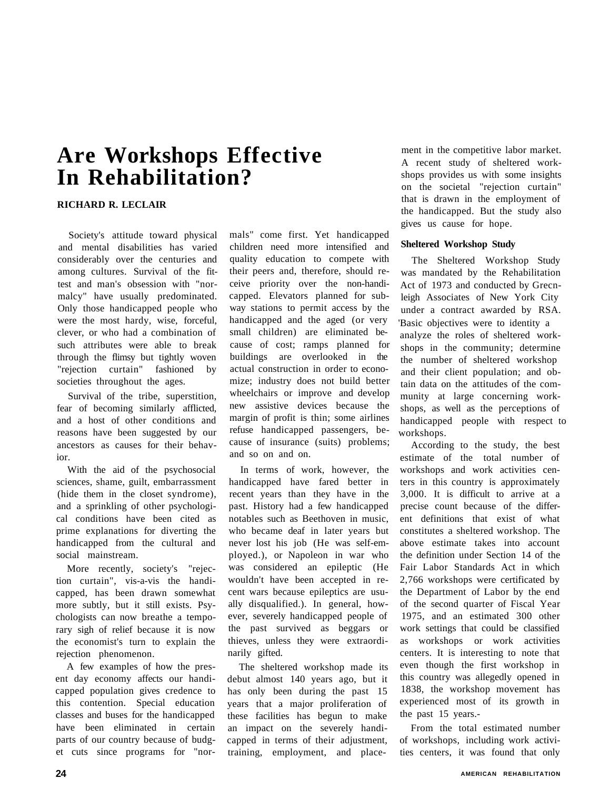# **Are Workshops Effective In Rehabilitation?**

## **RICHARD R. LECLAIR**

Society's attitude toward physical and mental disabilities has varied considerably over the centuries and among cultures. Survival of the fittest and man's obsession with "normalcy" have usually predominated. Only those handicapped people who were the most hardy, wise, forceful, clever, or who had a combination of such attributes were able to break through the flimsy but tightly woven "rejection curtain" fashioned by societies throughout the ages.

Survival of the tribe, superstition, fear of becoming similarly afflicted, and a host of other conditions and reasons have been suggested by our ancestors as causes for their behavior.

With the aid of the psychosocial sciences, shame, guilt, embarrassment (hide them in the closet syndrome), and a sprinkling of other psychological conditions have been cited as prime explanations for diverting the handicapped from the cultural and social mainstream.

More recently, society's "rejection curtain", vis-a-vis the handicapped, has been drawn somewhat more subtly, but it still exists. Psychologists can now breathe a temporary sigh of relief because it is now the economist's turn to explain the rejection phenomenon.

A few examples of how the present day economy affects our handicapped population gives credence to this contention. Special education classes and buses for the handicapped have been eliminated in certain parts of our country because of budget cuts since programs for "normals" come first. Yet handicapped children need more intensified and quality education to compete with their peers and, therefore, should receive priority over the non-handicapped. Elevators planned for subway stations to permit access by the handicapped and the aged (or very small children) are eliminated because of cost; ramps planned for buildings are overlooked in the actual construction in order to economize; industry does not build better wheelchairs or improve and develop new assistive devices because the margin of profit is thin; some airlines refuse handicapped passengers, because of insurance (suits) problems; and so on and on.

In terms of work, however, the handicapped have fared better in recent years than they have in the past. History had a few handicapped notables such as Beethoven in music, who became deaf in later years but never lost his job (He was self-employed.), or Napoleon in war who was considered an epileptic (He wouldn't have been accepted in recent wars because epileptics are usually disqualified.). In general, however, severely handicapped people of the past survived as beggars or thieves, unless they were extraordinarily gifted.

The sheltered workshop made its debut almost 140 years ago, but it has only been during the past 15 years that a major proliferation of these facilities has begun to make an impact on the severely handicapped in terms of their adjustment, training, employment, and placement in the competitive labor market. A recent study of sheltered workshops provides us with some insights on the societal "rejection curtain" that is drawn in the employment of the handicapped. But the study also gives us cause for hope.

## **Sheltered Workshop Study**

The Sheltered Workshop Study was mandated by the Rehabilitation Act of 1973 and conducted by Grecnleigh Associates of New York City under a contract awarded by RSA. 'Basic objectives were to identity a analyze the roles of sheltered workshops in the community; determine the number of sheltered workshop and their client population; and obtain data on the attitudes of the community at large concerning workshops, as well as the perceptions of handicapped people with respect to workshops.

According to the study, the best estimate of the total number of workshops and work activities centers in this country is approximately 3,000. It is difficult to arrive at a precise count because of the different definitions that exist of what constitutes a sheltered workshop. The above estimate takes into account the definition under Section 14 of the Fair Labor Standards Act in which 2,766 workshops were certificated by the Department of Labor by the end of the second quarter of Fiscal Year 1975, and an estimated 300 other work settings that could be classified as workshops or work activities centers. It is interesting to note that even though the first workshop in this country was allegedly opened in 1838, the workshop movement has experienced most of its growth in the past 15 years.-

From the total estimated number of workshops, including work activities centers, it was found that only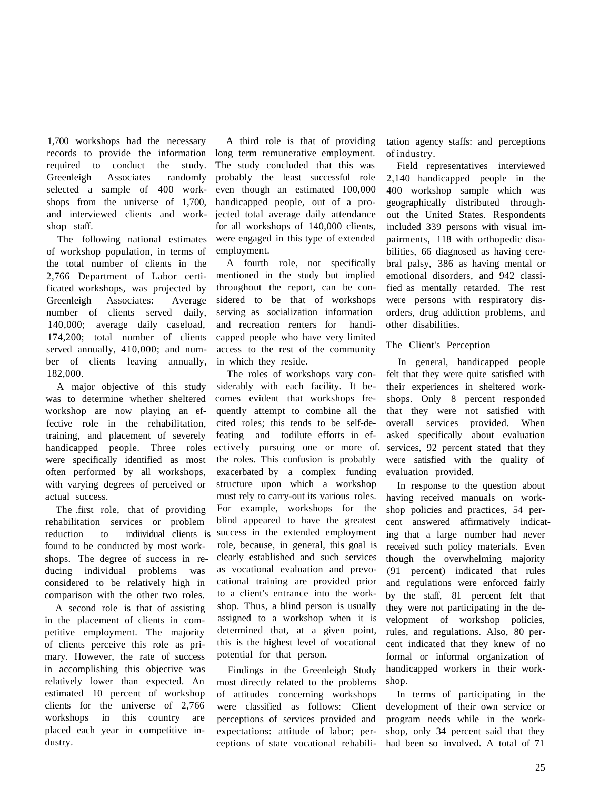1,700 workshops had the necessary records to provide the information required to conduct the study. Greenleigh Associates randomly selected a sample of 400 workshops from the universe of 1,700, and interviewed clients and workshop staff.

The following national estimates of workshop population, in terms of the total number of clients in the 2,766 Department of Labor certificated workshops, was projected by Greenleigh Associates: Average number of clients served daily, 140,000; average daily caseload, 174,200; total number of clients served annually, 410,000; and number of clients leaving annually, 182,000.

A major objective of this study was to determine whether sheltered workshop are now playing an effective role in the rehabilitation, training, and placement of severely handicapped people. Three roles were specifically identified as most often performed by all workshops, with varying degrees of perceived or actual success.

The .first role, that of providing rehabilitation services or problem reduction to indiividual clients is found to be conducted by most workshops. The degree of success in reducing individual problems was considered to be relatively high in comparison with the other two roles.

A second role is that of assisting in the placement of clients in competitive employment. The majority of clients perceive this role as primary. However, the rate of success in accomplishing this objective was relatively lower than expected. An estimated 10 percent of workshop clients for the universe of 2,766 workshops in this country are placed each year in competitive industry.

A third role is that of providing long term remunerative employment. The study concluded that this was probably the least successful role even though an estimated 100,000 handicapped people, out of a projected total average daily attendance for all workshops of 140,000 clients, were engaged in this type of extended employment.

A fourth role, not specifically mentioned in the study but implied throughout the report, can be considered to be that of workshops serving as socialization information and recreation renters for handicapped people who have very limited access to the rest of the community in which they reside.

The roles of workshops vary considerably with each facility. It becomes evident that workshops frequently attempt to combine all the cited roles; this tends to be self-defeating and todilute efforts in efectively pursuing one or more of. the roles. This confusion is probably exacerbated by a complex funding structure upon which a workshop must rely to carry-out its various roles. For example, workshops for the blind appeared to have the greatest success in the extended employment role, because, in general, this goal is clearly established and such services as vocational evaluation and prevocational training are provided prior to a client's entrance into the workshop. Thus, a blind person is usually assigned to a workshop when it is determined that, at a given point, this is the highest level of vocational potential for that person.

Findings in the Greenleigh Study most directly related to the problems of attitudes concerning workshops were classified as follows: Client perceptions of services provided and expectations: attitude of labor; perceptions of state vocational rehabilitation agency staffs: and perceptions of industry.

Field representatives interviewed 2,140 handicapped people in the 400 workshop sample which was geographically distributed throughout the United States. Respondents included 339 persons with visual impairments, 118 with orthopedic disabilities, 66 diagnosed as having cerebral palsy, 386 as having mental or emotional disorders, and 942 classified as mentally retarded. The rest were persons with respiratory disorders, drug addiction problems, and other disabilities.

## The Client's Perception

In general, handicapped people felt that they were quite satisfied with their experiences in sheltered workshops. Only 8 percent responded that they were not satisfied with overall services provided. When asked specifically about evaluation services, 92 percent stated that they were satisfied with the quality of evaluation provided.

In response to the question about having received manuals on workshop policies and practices, 54 percent answered affirmatively indicating that a large number had never received such policy materials. Even though the overwhelming majority (91 percent) indicated that rules and regulations were enforced fairly by the staff, 81 percent felt that they were not participating in the development of workshop policies, rules, and regulations. Also, 80 percent indicated that they knew of no formal or informal organization of handicapped workers in their workshop.

In terms of participating in the development of their own service or program needs while in the workshop, only 34 percent said that they had been so involved. A total of 71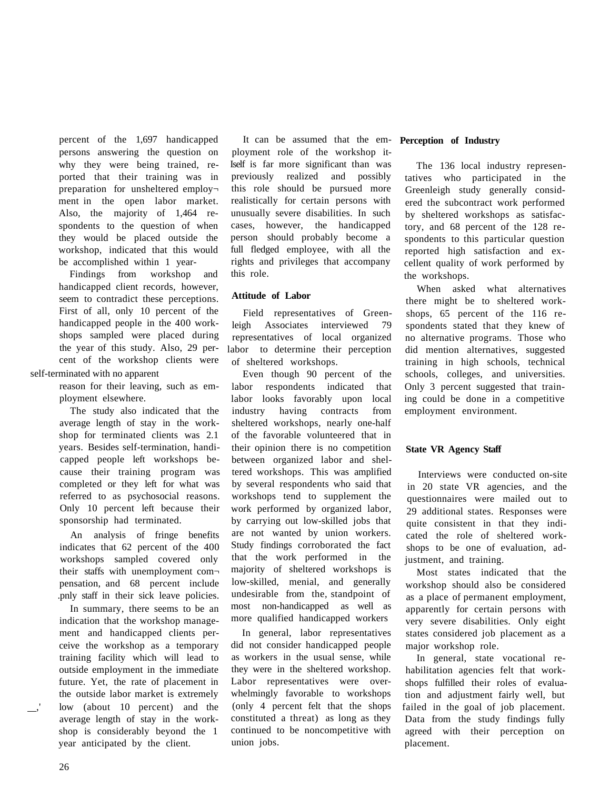percent of the 1,697 handicapped persons answering the question on why they were being trained, reported that their training was in preparation for unsheltered employ ment in the open labor market. Also, the majority of 1,464 respondents to the question of when they would be placed outside the workshop, indicated that this would be accomplished within 1 year-

Findings from workshop and handicapped client records, however, seem to contradict these perceptions. First of all, only 10 percent of the handicapped people in the 400 workshops sampled were placed during the year of this study. Also, 29 percent of the workshop clients were

self-terminated with no apparent

reason for their leaving, such as employment elsewhere.

The study also indicated that the average length of stay in the workshop for terminated clients was 2.1 years. Besides self-termination, handicapped people left workshops because their training program was completed or they left for what was referred to as psychosocial reasons. Only 10 percent left because their sponsorship had terminated.

An analysis of fringe benefits indicates that 62 percent of the 400 workshops sampled covered only their staffs with unemployment com pensation, and 68 percent include .pnly staff in their sick leave policies.

In summary, there seems to be an indication that the workshop management and handicapped clients perceive the workshop as a temporary training facility which will lead to outside employment in the immediate future. Yet, the rate of placement in the outside labor market is extremely low (about 10 percent) and the average length of stay in the workshop is considerably beyond the 1 year anticipated by the client.

It can be assumed that the employment role of the workshop it-Iself is far more significant than was previously realized and possibly this role should be pursued more realistically for certain persons with unusually severe disabilities. In such cases, however, the handicapped person should probably become a full fledged employee, with all the rights and privileges that accompany this role.

## **Attitude of Labor**

Field representatives of Greenleigh Associates interviewed 79 representatives of local organized labor to determine their perception of sheltered workshops.

Even though 90 percent of the labor respondents indicated that labor looks favorably upon local industry having contracts from sheltered workshops, nearly one-half of the favorable volunteered that in their opinion there is no competition between organized labor and sheltered workshops. This was amplified by several respondents who said that workshops tend to supplement the work performed by organized labor, by carrying out low-skilled jobs that are not wanted by union workers. Study findings corroborated the fact that the work performed in the majority of sheltered workshops is low-skilled, menial, and generally undesirable from the, standpoint of most non-handicapped as well as more qualified handicapped workers

In general, labor representatives did not consider handicapped people as workers in the usual sense, while they were in the sheltered workshop. Labor representatives were overwhelmingly favorable to workshops (only 4 percent felt that the shops constituted a threat) as long as they continued to be noncompetitive with union jobs.

#### **Perception of Industry**

The 136 local industry representatives who participated in the Greenleigh study generally considered the subcontract work performed by sheltered workshops as satisfactory, and 68 percent of the 128 respondents to this particular question reported high satisfaction and excellent quality of work performed by the workshops.

When asked what alternatives there might be to sheltered workshops, 65 percent of the 116 respondents stated that they knew of no alternative programs. Those who did mention alternatives, suggested training in high schools, technical schools, colleges, and universities. Only 3 percent suggested that training could be done in a competitive employment environment.

#### **State VR Agency Staff**

Interviews were conducted on-site in 20 state VR agencies, and the questionnaires were mailed out to 29 additional states. Responses were quite consistent in that they indicated the role of sheltered workshops to be one of evaluation, adjustment, and training.

Most states indicated that the workshop should also be considered as a place of permanent employment, apparently for certain persons with very severe disabilities. Only eight states considered job placement as a major workshop role.

In general, state vocational rehabilitation agencies felt that workshops fulfilled their roles of evaluation and adjustment fairly well, but failed in the goal of job placement. Data from the study findings fully agreed with their perception on placement.